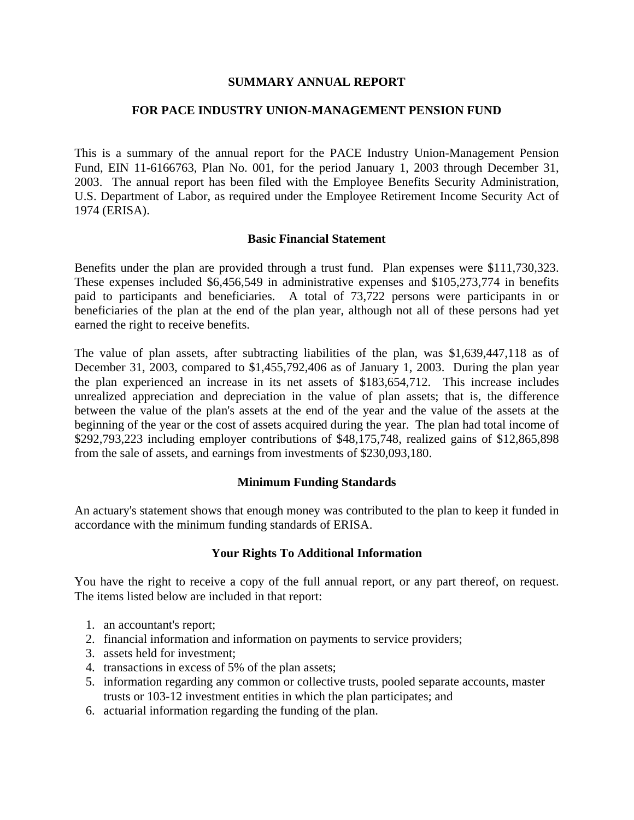### **SUMMARY ANNUAL REPORT**

### **FOR PACE INDUSTRY UNION-MANAGEMENT PENSION FUND**

This is a summary of the annual report for the PACE Industry Union-Management Pension Fund, EIN 11-6166763, Plan No. 001, for the period January 1, 2003 through December 31, 2003. The annual report has been filed with the Employee Benefits Security Administration, U.S. Department of Labor, as required under the Employee Retirement Income Security Act of 1974 (ERISA).

### **Basic Financial Statement**

Benefits under the plan are provided through a trust fund. Plan expenses were \$111,730,323. These expenses included \$6,456,549 in administrative expenses and \$105,273,774 in benefits paid to participants and beneficiaries. A total of 73,722 persons were participants in or beneficiaries of the plan at the end of the plan year, although not all of these persons had yet earned the right to receive benefits.

The value of plan assets, after subtracting liabilities of the plan, was \$1,639,447,118 as of December 31, 2003, compared to \$1,455,792,406 as of January 1, 2003. During the plan year the plan experienced an increase in its net assets of \$183,654,712. This increase includes unrealized appreciation and depreciation in the value of plan assets; that is, the difference between the value of the plan's assets at the end of the year and the value of the assets at the beginning of the year or the cost of assets acquired during the year. The plan had total income of \$292,793,223 including employer contributions of \$48,175,748, realized gains of \$12,865,898 from the sale of assets, and earnings from investments of \$230,093,180.

# **Minimum Funding Standards**

An actuary's statement shows that enough money was contributed to the plan to keep it funded in accordance with the minimum funding standards of ERISA.

# **Your Rights To Additional Information**

You have the right to receive a copy of the full annual report, or any part thereof, on request. The items listed below are included in that report:

- 1. an accountant's report;
- 2. financial information and information on payments to service providers;
- 3. assets held for investment;
- 4. transactions in excess of 5% of the plan assets;
- 5. information regarding any common or collective trusts, pooled separate accounts, master trusts or 103-12 investment entities in which the plan participates; and
- 6. actuarial information regarding the funding of the plan.